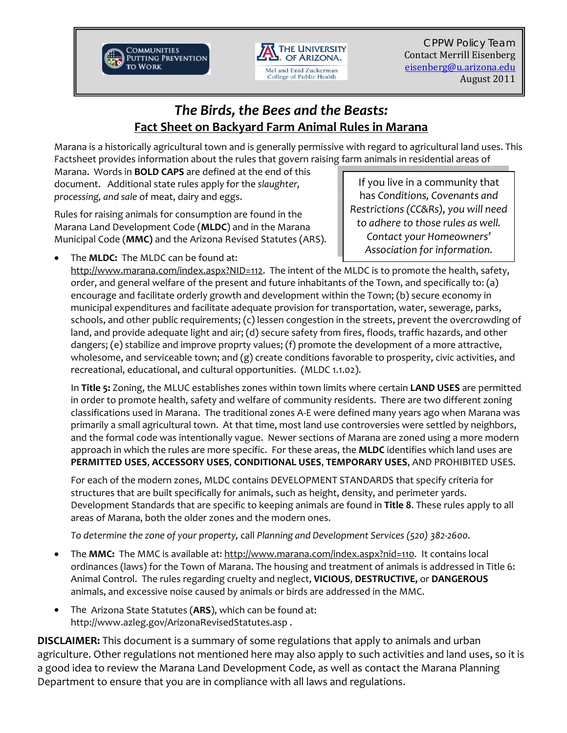



CPPW Policy Team Contact Merrill Eisenberg eisenberg@u.arizona.edu August 2011

# *The Birds, the Bees and the Beasts:*  **Fact Sheet on Backyard Farm Animal Rules in Marana**

Marana is a historically agricultural town and is generally permissive with regard to agricultural land uses. This Factsheet provides information about the rules that govern raising farm animals in residential areas of

Marana. Words in **BOLD CAPS** are defined at the end of this document. Additional state rules apply for the *slaughter, processing, and sale* of meat, dairy and eggs.

Rules for raising animals for consumption are found in the Marana Land Development Code (**MLDC**) and in the Marana Municipal Code (**MMC)** and the Arizona Revised Statutes (ARS).

If you live in a community that has *Conditions, Covenants and Restrictions (CC&Rs), you will need to adhere to those rules as well. Contact your Homeowners' Association for information.*

• The **MLDC:** The MLDC can be found at:

http://www.marana.com/index.aspx?NID=112. The intent of the MLDC is to promote the health, safety, order, and general welfare of the present and future inhabitants of the Town, and specifically to: (a) encourage and facilitate orderly growth and development within the Town; (b) secure economy in municipal expenditures and facilitate adequate provision for transportation, water, sewerage, parks, schools, and other public requirements; (c) lessen congestion in the streets, prevent the overcrowding of land, and provide adequate light and air; (d) secure safety from fires, floods, traffic hazards, and other dangers; (e) stabilize and improve proprty values; (f) promote the development of a more attractive, wholesome, and serviceable town; and (g) create conditions favorable to prosperity, civic activities, and recreational, educational, and cultural opportunities. (MLDC 1.1.02).

In **Title 5:** Zoning, the MLUC establishes zones within town limits where certain **LAND USES** are permitted in order to promote health, safety and welfare of community residents. There are two different zoning classifications used in Marana. The traditional zones A‐E were defined many years ago when Marana was primarily a small agricultural town. At that time, most land use controversies were settled by neighbors, and the formal code was intentionally vague. Newer sections of Marana are zoned using a more modern approach in which the rules are more specific. For these areas, the **MLDC** identifies which land uses are **PERMITTED USES**, **ACCESSORY USES**, **CONDITIONAL USES**, **TEMPORARY USES**, AND PROHIBITED USES.

For each of the modern zones, MLDC contains DEVELOPMENT STANDARDS that specify criteria for structures that are built specifically for animals, such as height, density, and perimeter yards. Development Standards that are specific to keeping animals are found in **Title 8**. These rules apply to all areas of Marana, both the older zones and the modern ones.

*To determine the zone of your property,* call *Planning and Development Services (520) 382‐2600.*

- The **MMC:** The MMC is available at: http://www.marana.com/index.aspx?nid=110. It contains local ordinances (laws) for the Town of Marana. The housing and treatment of animals is addressed in Title 6: Animal Control. The rules regarding cruelty and neglect, **VICIOUS**, **DESTRUCTIVE,** or **DANGEROUS** animals, and excessive noise caused by animals or birds are addressed in the MMC.
- The Arizona State Statutes (**ARS**), which can be found at: http://www.azleg.gov/ArizonaRevisedStatutes.asp .

**DISCLAIMER:** This document is a summary of some regulations that apply to animals and urban agriculture. Other regulations not mentioned here may also apply to such activities and land uses, so it is a good idea to review the Marana Land Development Code, as well as contact the Marana Planning Department to ensure that you are in compliance with all laws and regulations.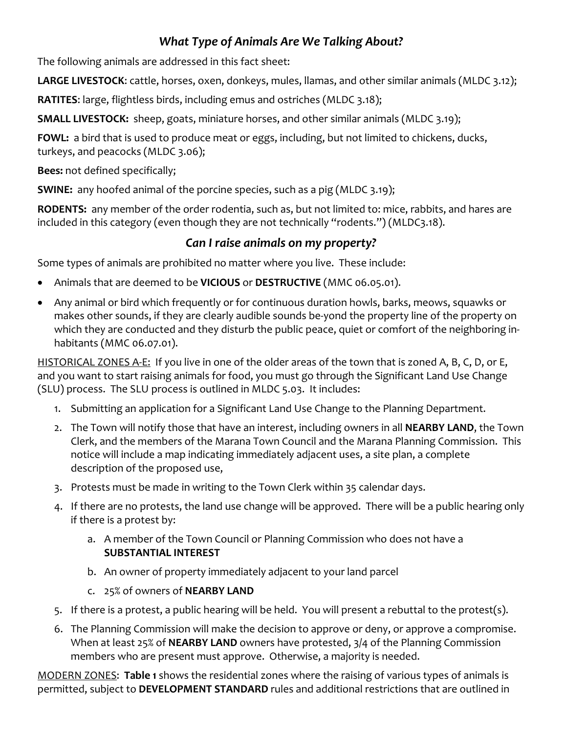# *What Type of Animals Are We Talking About?*

The following animals are addressed in this fact sheet:

**LARGE LIVESTOCK**: cattle, horses, oxen, donkeys, mules, llamas, and other similar animals (MLDC 3.12);

**RATITES**: large, flightless birds, including emus and ostriches (MLDC 3.18);

**SMALL LIVESTOCK:** sheep, goats, miniature horses, and other similar animals (MLDC 3.19);

FOWL: a bird that is used to produce meat or eggs, including, but not limited to chickens, ducks, turkeys, and peacocks (MLDC 3.06);

**Bees:** not defined specifically;

**SWINE:** any hoofed animal of the porcine species, such as a pig (MLDC 3.19);

**RODENTS:** any member of the order rodentia, such as, but not limited to: mice, rabbits, and hares are included in this category (even though they are not technically "rodents.") (MLDC3.18).

## *Can I raise animals on my property?*

Some types of animals are prohibited no matter where you live. These include:

- Animals that are deemed to be **VICIOUS** or **DESTRUCTIVE** (MMC 06.05.01).
- Any animal or bird which frequently or for continuous duration howls, barks, meows, squawks or makes other sounds, if they are clearly audible sounds be-yond the property line of the property on which they are conducted and they disturb the public peace, quiet or comfort of the neighboring in‐ habitants (MMC 06.07.01).

HISTORICAL ZONES A‐E: If you live in one of the older areas of the town that is zoned A, B, C, D, or E, and you want to start raising animals for food, you must go through the Significant Land Use Change (SLU) process. The SLU process is outlined in MLDC 5.03. It includes:

- 1. Submitting an application for a Significant Land Use Change to the Planning Department.
- 2. The Town will notify those that have an interest, including owners in all **NEARBY LAND**, the Town Clerk, and the members of the Marana Town Council and the Marana Planning Commission. This notice will include a map indicating immediately adjacent uses, a site plan, a complete description of the proposed use,
- 3. Protests must be made in writing to the Town Clerk within 35 calendar days.
- 4. If there are no protests, the land use change will be approved. There will be a public hearing only if there is a protest by:
	- a. A member of the Town Council or Planning Commission who does not have a **SUBSTANTIAL INTEREST**
	- b. An owner of property immediately adjacent to your land parcel
	- c. 25% of owners of **NEARBY LAND**
- 5. If there is a protest, a public hearing will be held. You will present a rebuttal to the protest(s).
- 6. The Planning Commission will make the decision to approve or deny, or approve a compromise. When at least 25% of **NEARBY LAND** owners have protested, 3/4 of the Planning Commission members who are present must approve. Otherwise, a majority is needed.

MODERN ZONES: **Table 1** shows the residential zones where the raising of various types of animals is permitted, subject to **DEVELOPMENT STANDARD** rules and additional restrictions that are outlined in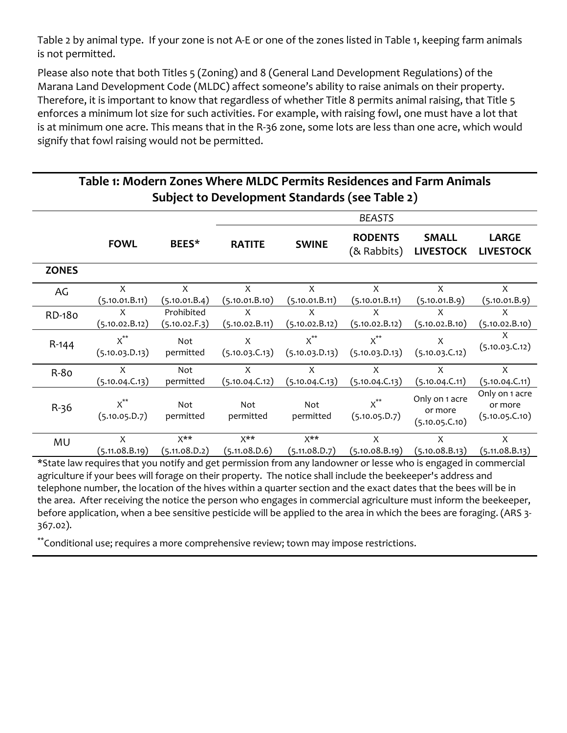Table 2 by animal type. If your zone is not A‐E or one of the zones listed in Table 1, keeping farm animals is not permitted.

Please also note that both Titles 5 (Zoning) and 8 (General Land Development Regulations) of the Marana Land Development Code (MLDC) affect someone's ability to raise animals on their property. Therefore, it is important to know that regardless of whether Title 8 permits animal raising, that Title 5 enforces a minimum lot size for such activities. For example, with raising fowl, one must have a lot that is at minimum one acre. This means that in the R‐36 zone, some lots are less than one acre, which would signify that fowl raising would not be permitted.

## **Table 1: Modern Zones Where MLDC Permits Residences and Farm Animals Subject to Development Standards (see Table 2)**

|              |                            |                                   |                                   |                                   | <b>BEASTS</b>                 |                                             |                                             |
|--------------|----------------------------|-----------------------------------|-----------------------------------|-----------------------------------|-------------------------------|---------------------------------------------|---------------------------------------------|
|              | <b>FOWL</b>                | BEES*                             | <b>RATITE</b>                     | <b>SWINE</b>                      | <b>RODENTS</b><br>(& Rabbits) | <b>SMALL</b><br><b>LIVESTOCK</b>            | <b>LARGE</b><br><b>LIVESTOCK</b>            |
| <b>ZONES</b> |                            |                                   |                                   |                                   |                               |                                             |                                             |
| AG           | X<br>(5.10.01.B.11)        | X<br>(5.10.01.B.4)                | X<br>(5.10.01.B.10)               | X<br>(5.10.01.B.11)               | X<br>(5.10.01.B.11)           | X<br>(5.10.01.B.9)                          | X<br>(5.10.01.B.9)                          |
| RD-180       | X<br>(5.10.02.B.12)        | Prohibited<br>(5.10.02.F.3)       | X<br>(5.10.02.B.11)               | X<br>(5.10.02.B.12)               | X<br>(5.10.02.B.12)           | X<br>(5.10.02.B.10)                         | X<br>(5.10.02.B.10)                         |
| $R-144$      | $x^{**}$<br>(5.10.03.D.13) | Not<br>permitted                  | X<br>(5.10.03.C.13)               | $x^{**}$<br>(5.10.03.D.13)        | $x^{**}$<br>(5.10.03.D.13)    | X<br>(5.10.03.C.12)                         | X<br>(5.10.03.C.12)                         |
| $R-80$       | X<br>(5.10.04.C.13)        | Not<br>permitted                  | X<br>(5.10.04.C.12)               | X<br>(5.10.04.C.13)               | X<br>(5.10.04.C.13)           | X<br>(5.10.04.C.11)                         | X<br>(5.10.04.C.11)                         |
| $R-36$       | $x^{**}$<br>(5.10.05.D.7)  | Not<br>permitted                  | Not<br>permitted                  | Not<br>permitted                  | $x^{**}$<br>(5.10.05.D.7)     | Only on 1 acre<br>or more<br>(5.10.05.C.10) | Only on 1 acre<br>or more<br>(5.10.05.C.10) |
| MU           | X<br>(5.11.08.B.19)        | $X^{\star\star}$<br>(5.11.08.D.2) | $X^{\star\star}$<br>(5.11.08.D.6) | $X^{\star\star}$<br>(5.11.08.D.7) | X<br>(5.10.08.B.19)           | X<br>(5.10.08.B.13)                         | X<br>(5.11.08.B.13)                         |
|              |                            |                                   |                                   |                                   |                               |                                             |                                             |

\*State law requires that you notify and get permission from any landowner or lesse who is engaged in commercial agriculture if your bees will forage on their property. The notice shall include the beekeeper's address and telephone number, the location of the hives within a quarter section and the exact dates that the bees will be in the area. After receiving the notice the person who engages in commercial agriculture must inform the beekeeper, before application, when a bee sensitive pesticide will be applied to the area in which the bees are foraging. (ARS 3-367.02).

\*\*Conditional use; requires a more comprehensive review; town may impose restrictions.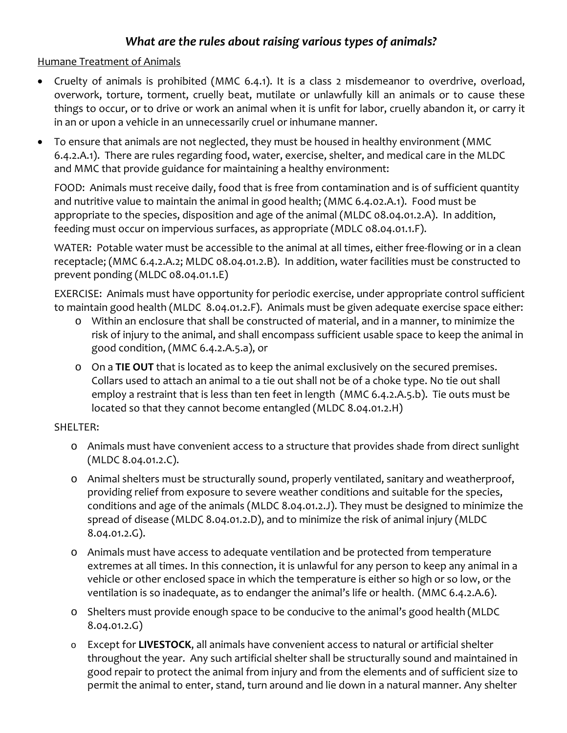## *What are the rules about raising various types of animals?*

#### Humane Treatment of Animals

- Cruelty of animals is prohibited (MMC 6.4.1). It is a class 2 misdemeanor to overdrive, overload, overwork, torture, torment, cruelly beat, mutilate or unlawfully kill an animals or to cause these things to occur, or to drive or work an animal when it is unfit for labor, cruelly abandon it, or carry it in an or upon a vehicle in an unnecessarily cruel or inhumane manner.
- To ensure that animals are not neglected, they must be housed in healthy environment (MMC 6.4.2.A.1). There are rules regarding food, water, exercise, shelter, and medical care in the MLDC and MMC that provide guidance for maintaining a healthy environment:

FOOD: Animals must receive daily, food that is free from contamination and is of sufficient quantity and nutritive value to maintain the animal in good health; (MMC 6.4.02.A.1). Food must be appropriate to the species, disposition and age of the animal (MLDC 08.04.01.2.A). In addition, feeding must occur on impervious surfaces, as appropriate (MDLC 08.04.01.1.F).

WATER: Potable water must be accessible to the animal at all times, either free-flowing or in a clean receptacle; (MMC 6.4.2.A.2; MLDC 08.04.01.2.B). In addition, water facilities must be constructed to prevent ponding (MLDC 08.04.01.1.E)

EXERCISE: Animals must have opportunity for periodic exercise, under appropriate control sufficient to maintain good health (MLDC 8.04.01.2.F). Animals must be given adequate exercise space either:

- o Within an enclosure that shall be constructed of material, and in a manner, to minimize the risk of injury to the animal, and shall encompass sufficient usable space to keep the animal in good condition, (MMC 6.4.2.A.5.a), or
- o On a **TIE OUT** that is located as to keep the animal exclusively on the secured premises. Collars used to attach an animal to a tie out shall not be of a choke type. No tie out shall employ a restraint that is less than ten feet in length (MMC 6.4.2.A.5.b). Tie outs must be located so that they cannot become entangled (MLDC 8.04.01.2.H)

#### SHELTER:

- o Animals must have convenient access to a structure that provides shade from direct sunlight (MLDC 8.04.01.2.C).
- o Animal shelters must be structurally sound, properly ventilated, sanitary and weatherproof, providing relief from exposure to severe weather conditions and suitable for the species, conditions and age of the animals (MLDC 8.04.01.2.J). They must be designed to minimize the spread of disease (MLDC 8.04.01.2.D), and to minimize the risk of animal injury (MLDC 8.04.01.2.G).
- o Animals must have access to adequate ventilation and be protected from temperature extremes at all times. In this connection, it is unlawful for any person to keep any animal in a vehicle or other enclosed space in which the temperature is either so high or so low, or the ventilation is so inadequate, as to endanger the animal's life or health. (MMC 6.4.2.A.6).
- o Shelters must provide enough space to be conducive to the animal's good health (MLDC 8.04.01.2.G)
- o Except for **LIVESTOCK**, all animals have convenient access to natural or artificial shelter throughout the year. Any such artificial shelter shall be structurally sound and maintained in good repair to protect the animal from injury and from the elements and of sufficient size to permit the animal to enter, stand, turn around and lie down in a natural manner. Any shelter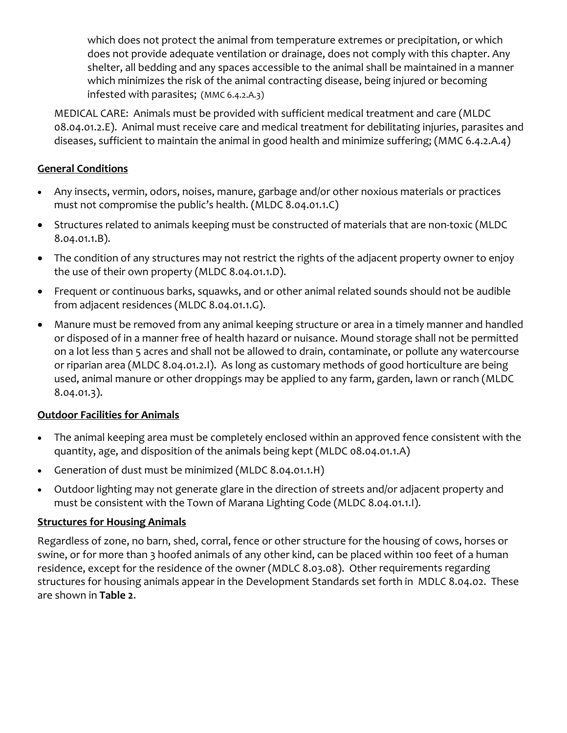which does not protect the animal from temperature extremes or precipitation, or which does not provide adequate ventilation or drainage, does not comply with this chapter. Any shelter, all bedding and any spaces accessible to the animal shall be maintained in a manner which minimizes the risk of the animal contracting disease, being injured or becoming infested with parasites; (MMC 6.4.2.A.3)

MEDICAL CARE: Animals must be provided with sufficient medical treatment and care (MLDC 08.04.01.2.E). Animal must receive care and medical treatment for debilitating injuries, parasites and diseases, sufficient to maintain the animal in good health and minimize suffering; (MMC 6.4.2.A.4)

### **General Conditions**

- Any insects, vermin, odors, noises, manure, garbage and/or other noxious materials or practices must not compromise the public's health. (MLDC 8.04.01.1.C)
- Structures related to animals keeping must be constructed of materials that are non‐toxic (MLDC 8.04.01.1.B).
- The condition of any structures may not restrict the rights of the adjacent property owner to enjoy the use of their own property (MLDC 8.04.01.1.D).
- Frequent or continuous barks, squawks, and or other animal related sounds should not be audible from adjacent residences (MLDC 8.04.01.1.G).
- Manure must be removed from any animal keeping structure or area in a timely manner and handled or disposed of in a manner free of health hazard or nuisance. Mound storage shall not be permitted on a lot less than 5 acres and shall not be allowed to drain, contaminate, or pollute any watercourse or riparian area (MLDC 8.04.01.2.I). As long as customary methods of good horticulture are being used, animal manure or other droppings may be applied to any farm, garden, lawn or ranch (MLDC 8.04.01.3).

#### **Outdoor Facilities for Animals**

- The animal keeping area must be completely enclosed within an approved fence consistent with the quantity, age, and disposition of the animals being kept (MLDC 08.04.01.1.A)
- Generation of dust must be minimized (MLDC 8.04.01.1.H)
- Outdoor lighting may not generate glare in the direction of streets and/or adjacent property and must be consistent with the Town of Marana Lighting Code (MLDC 8.04.01.1.I).

### **Structures for Housing Animals**

Regardless of zone, no barn, shed, corral, fence or other structure for the housing of cows, horses or swine, or for more than 3 hoofed animals of any other kind, can be placed within 100 feet of a human residence, except for the residence of the owner (MDLC 8.03.08). Other requirements regarding structures for housing animals appear in the Development Standards set forth in MDLC 8.04.02. These are shown in **Table 2**.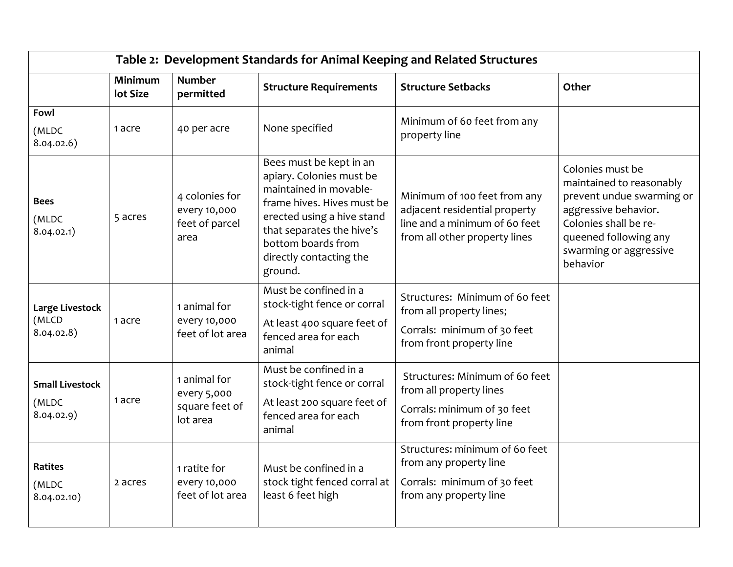| Table 2: Development Standards for Animal Keeping and Related Structures |                     |                                                           |                                                                                                                                                                                                                                    |                                                                                                                                 |                                                                                                                                                                                           |  |  |
|--------------------------------------------------------------------------|---------------------|-----------------------------------------------------------|------------------------------------------------------------------------------------------------------------------------------------------------------------------------------------------------------------------------------------|---------------------------------------------------------------------------------------------------------------------------------|-------------------------------------------------------------------------------------------------------------------------------------------------------------------------------------------|--|--|
|                                                                          | Minimum<br>lot Size | <b>Number</b><br>permitted                                | <b>Structure Requirements</b>                                                                                                                                                                                                      | <b>Structure Setbacks</b>                                                                                                       | Other                                                                                                                                                                                     |  |  |
| Fowl<br>(MLDC<br>8.04.02.6)                                              | 1 acre              | 40 per acre                                               | None specified                                                                                                                                                                                                                     | Minimum of 60 feet from any<br>property line                                                                                    |                                                                                                                                                                                           |  |  |
| <b>Bees</b><br>(MLDC<br>8.04.02.1)                                       | 5 acres             | 4 colonies for<br>every 10,000<br>feet of parcel<br>area  | Bees must be kept in an<br>apiary. Colonies must be<br>maintained in movable-<br>frame hives. Hives must be<br>erected using a hive stand<br>that separates the hive's<br>bottom boards from<br>directly contacting the<br>ground. | Minimum of 100 feet from any<br>adjacent residential property<br>line and a minimum of 60 feet<br>from all other property lines | Colonies must be<br>maintained to reasonably<br>prevent undue swarming or<br>aggressive behavior.<br>Colonies shall be re-<br>queened following any<br>swarming or aggressive<br>behavior |  |  |
| Large Livestock<br>(MLCD<br>8.04.02.8)                                   | 1 acre              | 1 animal for<br>every 10,000<br>feet of lot area          | Must be confined in a<br>stock-tight fence or corral<br>At least 400 square feet of<br>fenced area for each<br>animal                                                                                                              | Structures: Minimum of 60 feet<br>from all property lines;<br>Corrals: minimum of 30 feet<br>from front property line           |                                                                                                                                                                                           |  |  |
| <b>Small Livestock</b><br>(MLDC<br>8.04.02.9)                            | 1 acre              | 1 animal for<br>every 5,000<br>square feet of<br>lot area | Must be confined in a<br>stock-tight fence or corral<br>At least 200 square feet of<br>fenced area for each<br>animal                                                                                                              | Structures: Minimum of 60 feet<br>from all property lines<br>Corrals: minimum of 30 feet<br>from front property line            |                                                                                                                                                                                           |  |  |
| Ratites<br>(MLDC<br>8.04.02.10)                                          | 2 acres             | 1 ratite for<br>every 10,000<br>feet of lot area          | Must be confined in a<br>stock tight fenced corral at<br>least 6 feet high                                                                                                                                                         | Structures: minimum of 60 feet<br>from any property line<br>Corrals: minimum of 30 feet<br>from any property line               |                                                                                                                                                                                           |  |  |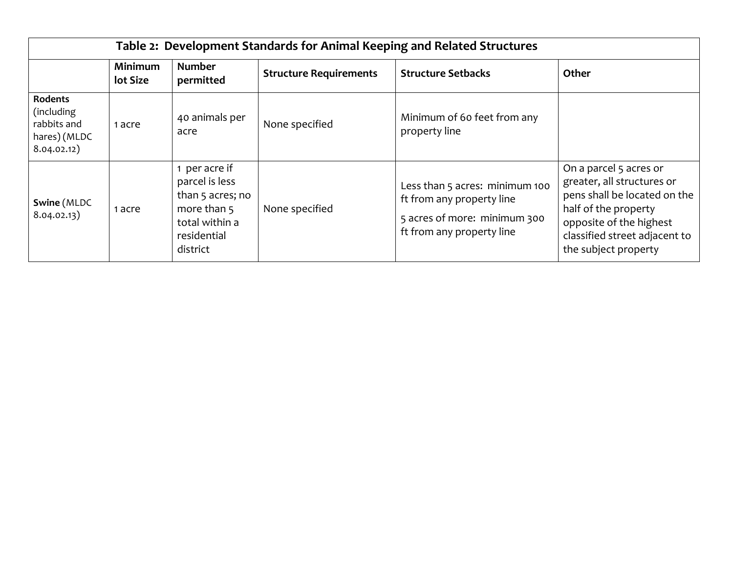| Table 2: Development Standards for Animal Keeping and Related Structures   |                            |                                                                                                                 |                               |                                                                                                                          |                                                                                                                                                                                                  |  |  |
|----------------------------------------------------------------------------|----------------------------|-----------------------------------------------------------------------------------------------------------------|-------------------------------|--------------------------------------------------------------------------------------------------------------------------|--------------------------------------------------------------------------------------------------------------------------------------------------------------------------------------------------|--|--|
|                                                                            | <b>Minimum</b><br>lot Size | <b>Number</b><br>permitted                                                                                      | <b>Structure Requirements</b> | <b>Structure Setbacks</b>                                                                                                | Other                                                                                                                                                                                            |  |  |
| <b>Rodents</b><br>(including<br>rabbits and<br>hares) (MLDC<br>8.04.02.12) | 1 acre                     | 40 animals per<br>acre                                                                                          | None specified                | Minimum of 60 feet from any<br>property line                                                                             |                                                                                                                                                                                                  |  |  |
| Swine (MLDC<br>8.04.02.13)                                                 | 1 acre                     | 1 per acre if<br>parcel is less<br>than 5 acres; no<br>more than 5<br>total within a<br>residential<br>district | None specified                | Less than 5 acres: minimum 100<br>ft from any property line<br>5 acres of more: minimum 300<br>ft from any property line | On a parcel 5 acres or<br>greater, all structures or<br>pens shall be located on the<br>half of the property<br>opposite of the highest<br>classified street adjacent to<br>the subject property |  |  |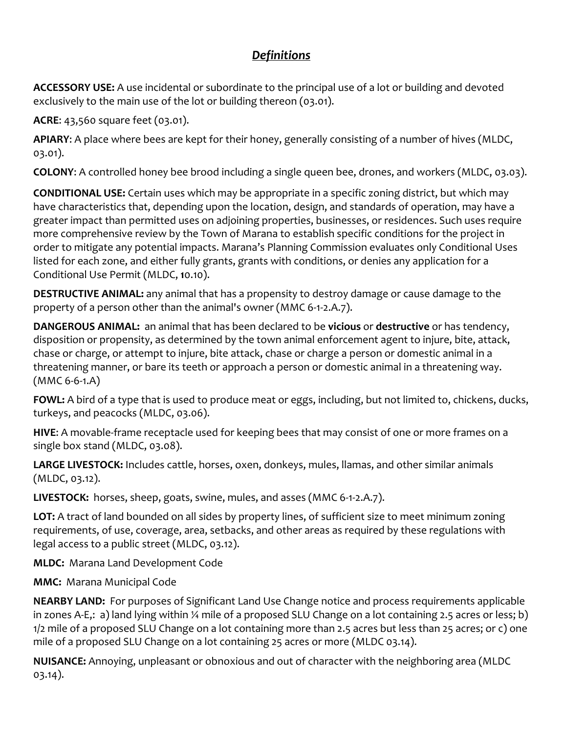# *Definitions*

**ACCESSORY USE:** A use incidental or subordinate to the principal use of a lot or building and devoted exclusively to the main use of the lot or building thereon (03.01).

**ACRE**: 43,560 square feet (03.01).

**APIARY**: A place where bees are kept for their honey, generally consisting of a number of hives (MLDC, 03.01).

**COLONY**: A controlled honey bee brood including a single queen bee, drones, and workers (MLDC, 03.03).

**CONDITIONAL USE:** Certain uses which may be appropriate in a specific zoning district, but which may have characteristics that, depending upon the location, design, and standards of operation, may have a greater impact than permitted uses on adjoining properties, businesses, or residences. Such uses require more comprehensive review by the Town of Marana to establish specific conditions for the project in order to mitigate any potential impacts. Marana's Planning Commission evaluates only Conditional Uses listed for each zone, and either fully grants, grants with conditions, or denies any application for a Conditional Use Permit (MLDC, **1**0.10).

**DESTRUCTIVE ANIMAL:** any animal that has a propensity to destroy damage or cause damage to the property of a person other than the animal's owner (MMC 6‐1‐2.A.7).

**DANGEROUS ANIMAL:** an animal that has been declared to be **vicious** or **destructive** or has tendency, disposition or propensity, as determined by the town animal enforcement agent to injure, bite, attack, chase or charge, or attempt to injure, bite attack, chase or charge a person or domestic animal in a threatening manner, or bare its teeth or approach a person or domestic animal in a threatening way. (MMC 6‐6‐1.A)

**FOWL:** A bird of a type that is used to produce meat or eggs, including, but not limited to, chickens, ducks, turkeys, and peacocks (MLDC, 03.06).

**HIVE**: A movable‐frame receptacle used for keeping bees that may consist of one or more frames on a single box stand (MLDC, 03.08).

**LARGE LIVESTOCK:** Includes cattle, horses, oxen, donkeys, mules, llamas, and other similar animals (MLDC, 03.12).

LIVESTOCK: horses, sheep, goats, swine, mules, and asses (MMC 6-1-2.A.7).

**LOT:** A tract of land bounded on all sides by property lines, of sufficient size to meet minimum zoning requirements, of use, coverage, area, setbacks, and other areas as required by these regulations with legal access to a public street (MLDC, 03.12).

**MLDC:** Marana Land Development Code

**MMC:** Marana Municipal Code

**NEARBY LAND:** For purposes of Significant Land Use Change notice and process requirements applicable in zones A‐E,: a) land lying within ¼ mile of a proposed SLU Change on a lot containing 2.5 acres or less; b) 1/2 mile of a proposed SLU Change on a lot containing more than 2.5 acres but less than 25 acres; or c) one mile of a proposed SLU Change on a lot containing 25 acres or more (MLDC 03.14).

**NUISANCE:** Annoying, unpleasant or obnoxious and out of character with the neighboring area (MLDC 03.14).